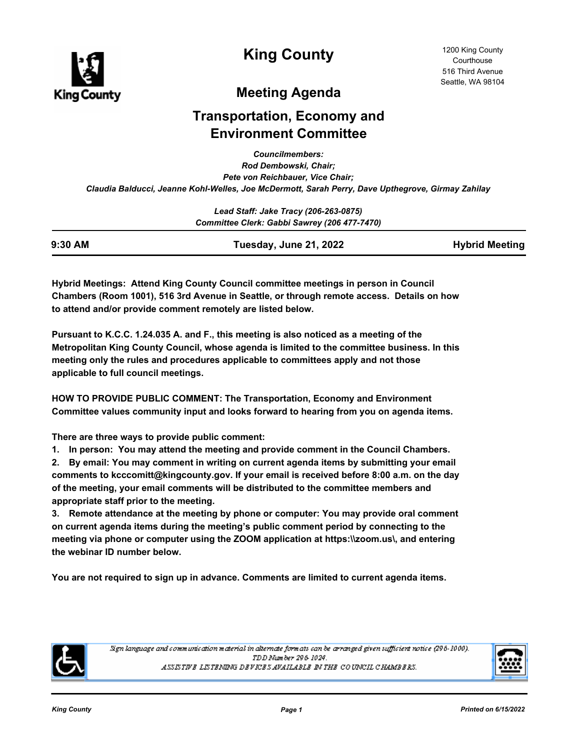

**King County**

# **Meeting Agenda**

# **Transportation, Economy and Environment Committee**

*Councilmembers: Rod Dembowski, Chair; Pete von Reichbauer, Vice Chair; Claudia Balducci, Jeanne Kohl-Welles, Joe McDermott, Sarah Perry, Dave Upthegrove, Girmay Zahilay*

| Lead Staff: Jake Tracy (206-263-0875)<br>Committee Clerk: Gabbi Sawrey (206 477-7470) |  |  |
|---------------------------------------------------------------------------------------|--|--|
|                                                                                       |  |  |

**Hybrid Meetings: Attend King County Council committee meetings in person in Council Chambers (Room 1001), 516 3rd Avenue in Seattle, or through remote access. Details on how to attend and/or provide comment remotely are listed below.**

**Pursuant to K.C.C. 1.24.035 A. and F., this meeting is also noticed as a meeting of the Metropolitan King County Council, whose agenda is limited to the committee business. In this meeting only the rules and procedures applicable to committees apply and not those applicable to full council meetings.**

**HOW TO PROVIDE PUBLIC COMMENT: The Transportation, Economy and Environment Committee values community input and looks forward to hearing from you on agenda items.**

**There are three ways to provide public comment:**

**1. In person: You may attend the meeting and provide comment in the Council Chambers.**

**2. By email: You may comment in writing on current agenda items by submitting your email comments to kcccomitt@kingcounty.gov. If your email is received before 8:00 a.m. on the day of the meeting, your email comments will be distributed to the committee members and appropriate staff prior to the meeting.** 

**3. Remote attendance at the meeting by phone or computer: You may provide oral comment on current agenda items during the meeting's public comment period by connecting to the meeting via phone or computer using the ZOOM application at https:\\zoom.us\, and entering the webinar ID number below.** 

**You are not required to sign up in advance. Comments are limited to current agenda items.**



Sign language and communication material in alternate formats can be arranged given sufficient notice (296-1000). TDD Number 296-1024. ASSISTIVE LISTENING DEVICES AVAILABLE IN THE COUNCIL CHAMBERS.

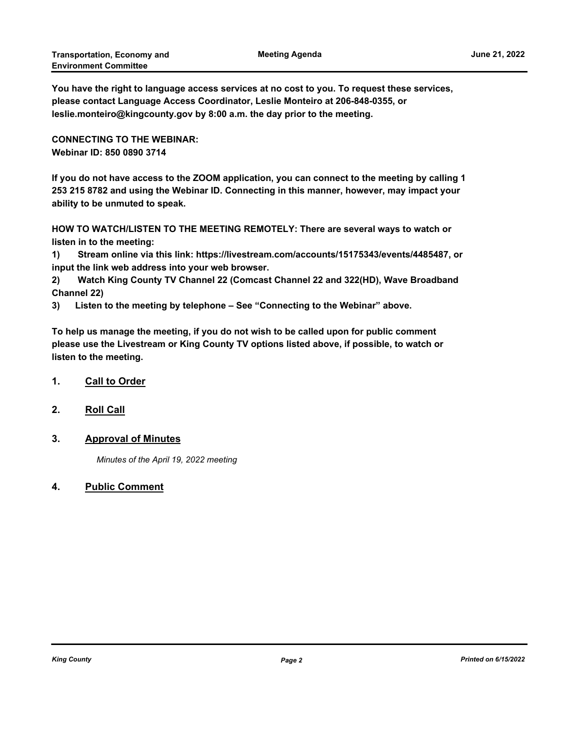**You have the right to language access services at no cost to you. To request these services, please contact Language Access Coordinator, Leslie Monteiro at 206-848-0355, or leslie.monteiro@kingcounty.gov by 8:00 a.m. the day prior to the meeting.**

**CONNECTING TO THE WEBINAR: Webinar ID: 850 0890 3714**

**If you do not have access to the ZOOM application, you can connect to the meeting by calling 1 253 215 8782 and using the Webinar ID. Connecting in this manner, however, may impact your ability to be unmuted to speak.** 

**HOW TO WATCH/LISTEN TO THE MEETING REMOTELY: There are several ways to watch or listen in to the meeting:**

**1) Stream online via this link: https://livestream.com/accounts/15175343/events/4485487, or input the link web address into your web browser.**

**2) Watch King County TV Channel 22 (Comcast Channel 22 and 322(HD), Wave Broadband Channel 22)**

**3) Listen to the meeting by telephone – See "Connecting to the Webinar" above.**

**To help us manage the meeting, if you do not wish to be called upon for public comment please use the Livestream or King County TV options listed above, if possible, to watch or listen to the meeting.**

- **1. Call to Order**
- **2. Roll Call**
- **3. Approval of Minutes**

*Minutes of the April 19, 2022 meeting*

**4. Public Comment**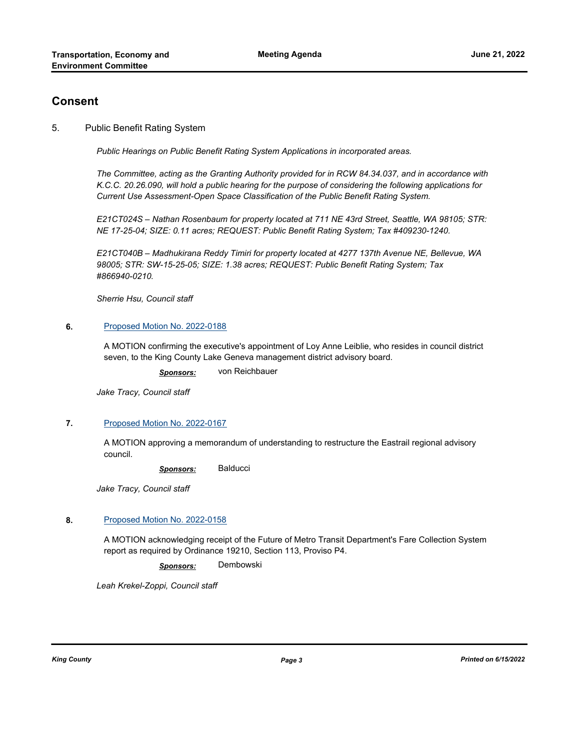# **Consent**

## 5. Public Benefit Rating System

*Public Hearings on Public Benefit Rating System Applications in incorporated areas.*

*The Committee, acting as the Granting Authority provided for in RCW 84.34.037, and in accordance with K.C.C. 20.26.090, will hold a public hearing for the purpose of considering the following applications for Current Use Assessment-Open Space Classification of the Public Benefit Rating System.*

*E21CT024S – Nathan Rosenbaum for property located at 711 NE 43rd Street, Seattle, WA 98105; STR: NE 17-25-04; SIZE: 0.11 acres; REQUEST: Public Benefit Rating System; Tax #409230-1240.*

*E21CT040B – Madhukirana Reddy Timiri for property located at 4277 137th Avenue NE, Bellevue, WA 98005; STR: SW-15-25-05; SIZE: 1.38 acres; REQUEST: Public Benefit Rating System; Tax #866940-0210.*

*Sherrie Hsu, Council staff*

#### **6.** [Proposed Motion No. 2022-0188](http://kingcounty.legistar.com/gateway.aspx?m=l&id=/matter.aspx?key=23106)

A MOTION confirming the executive's appointment of Loy Anne Leiblie, who resides in council district seven, to the King County Lake Geneva management district advisory board.

*Sponsors:* von Reichbauer

*Jake Tracy, Council staff*

#### **7.** [Proposed Motion No. 2022-0167](http://kingcounty.legistar.com/gateway.aspx?m=l&id=/matter.aspx?key=23052)

A MOTION approving a memorandum of understanding to restructure the Eastrail regional advisory council.

*Sponsors:* Balducci

*Jake Tracy, Council staff*

#### **8.** [Proposed Motion No. 2022-0158](http://kingcounty.legistar.com/gateway.aspx?m=l&id=/matter.aspx?key=23029)

A MOTION acknowledging receipt of the Future of Metro Transit Department's Fare Collection System report as required by Ordinance 19210, Section 113, Proviso P4.

*Sponsors:* Dembowski

*Leah Krekel-Zoppi, Council staff*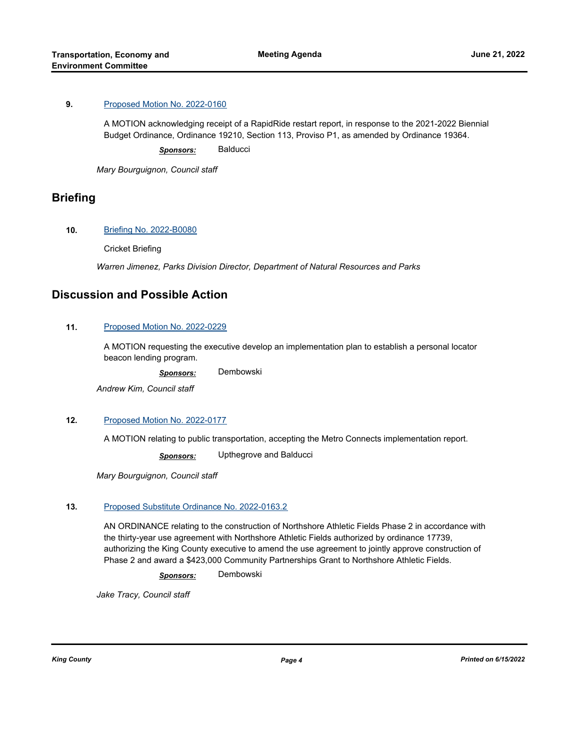## **9.** [Proposed Motion No. 2022-0160](http://kingcounty.legistar.com/gateway.aspx?m=l&id=/matter.aspx?key=23037)

A MOTION acknowledging receipt of a RapidRide restart report, in response to the 2021-2022 Biennial Budget Ordinance, Ordinance 19210, Section 113, Proviso P1, as amended by Ordinance 19364.

*Sponsors:* Balducci

*Mary Bourguignon, Council staff*

# **Briefing**

## **10.** [Briefing No. 2022-B0080](http://kingcounty.legistar.com/gateway.aspx?m=l&id=/matter.aspx?key=23190)

Cricket Briefing

*Warren Jimenez, Parks Division Director, Department of Natural Resources and Parks*

# **Discussion and Possible Action**

## **11.** [Proposed Motion No. 2022-0229](http://kingcounty.legistar.com/gateway.aspx?m=l&id=/matter.aspx?key=23184)

A MOTION requesting the executive develop an implementation plan to establish a personal locator beacon lending program.

*Sponsors:* Dembowski

*Andrew Kim, Council staff*

## **12.** [Proposed Motion No. 2022-0177](http://kingcounty.legistar.com/gateway.aspx?m=l&id=/matter.aspx?key=23092)

A MOTION relating to public transportation, accepting the Metro Connects implementation report.

*Sponsors:* Upthegrove and Balducci

*Mary Bourguignon, Council staff*

#### **13.** [Proposed Substitute Ordinance No. 2022-0163.2](http://kingcounty.legistar.com/gateway.aspx?m=l&id=/matter.aspx?key=23048)

AN ORDINANCE relating to the construction of Northshore Athletic Fields Phase 2 in accordance with the thirty-year use agreement with Northshore Athletic Fields authorized by ordinance 17739, authorizing the King County executive to amend the use agreement to jointly approve construction of Phase 2 and award a \$423,000 Community Partnerships Grant to Northshore Athletic Fields.

*Sponsors:* Dembowski

*Jake Tracy, Council staff*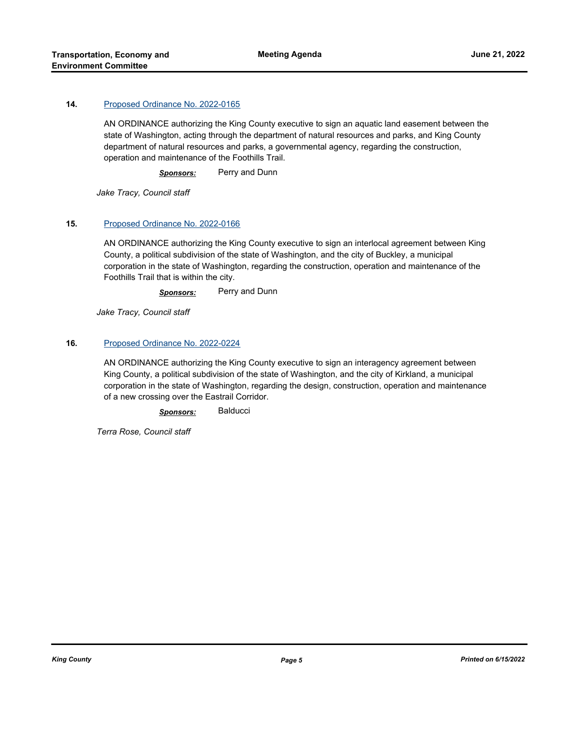### **14.** [Proposed Ordinance No. 2022-0165](http://kingcounty.legistar.com/gateway.aspx?m=l&id=/matter.aspx?key=23050)

AN ORDINANCE authorizing the King County executive to sign an aquatic land easement between the state of Washington, acting through the department of natural resources and parks, and King County department of natural resources and parks, a governmental agency, regarding the construction, operation and maintenance of the Foothills Trail.

*Sponsors:* Perry and Dunn

*Jake Tracy, Council staff*

#### **15.** [Proposed Ordinance No. 2022-0166](http://kingcounty.legistar.com/gateway.aspx?m=l&id=/matter.aspx?key=23051)

AN ORDINANCE authorizing the King County executive to sign an interlocal agreement between King County, a political subdivision of the state of Washington, and the city of Buckley, a municipal corporation in the state of Washington, regarding the construction, operation and maintenance of the Foothills Trail that is within the city.

*Sponsors:* Perry and Dunn

*Jake Tracy, Council staff*

#### **16.** [Proposed Ordinance No. 2022-0224](http://kingcounty.legistar.com/gateway.aspx?m=l&id=/matter.aspx?key=23178)

AN ORDINANCE authorizing the King County executive to sign an interagency agreement between King County, a political subdivision of the state of Washington, and the city of Kirkland, a municipal corporation in the state of Washington, regarding the design, construction, operation and maintenance of a new crossing over the Eastrail Corridor.

*Sponsors:* Balducci

*Terra Rose, Council staff*